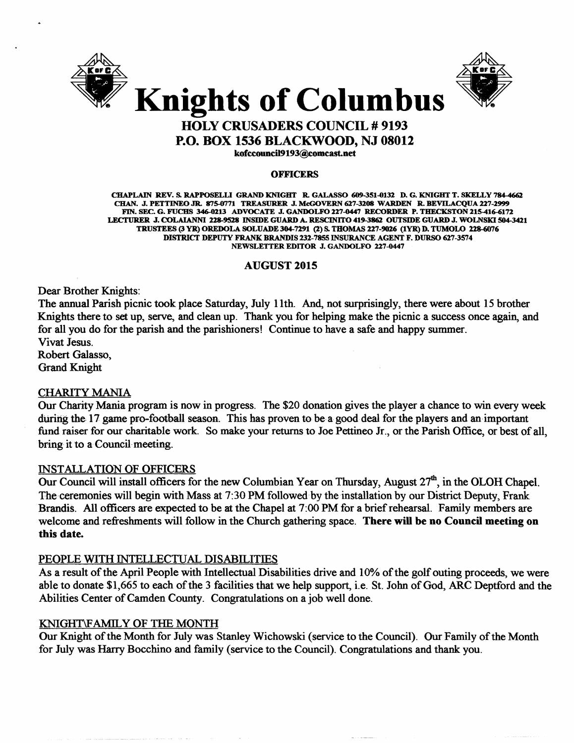



### HOLY CRUSADERS COUNCIL # 9193 P.O. BOX 1536 BLACKWOOD, NJ 08012

kofccouncil9193@comcast.net

#### **OFFICERS**

CHAPLAIN REV. S. RAPPOSELU GRAND KNIGHT R. GALASSO 609-351-0132 D. G. KNIGHT T. SKELLY 784-4662 CHAN. J. PETTINEO JR. 875-0771 TREASURER J. McGOVERN 627-3208 WARDEN R. BEVILACQUA 227-2999 FIN. SEC. G. FUCHS 346-0213 ADVOCATE J. GANDOLFO 227-0447 RECORDER P. TBECKSTON 215-416-6172 LECfURER J. COLAIANNI 228-9528 INSIDE GUARD A. RESCINITO 419-3862 OUTSIDE GUARD.1. WOLNSKI 504-3421 TRUSTEES (3 YR) OREDOLA SOLUADE 304-7291 (2) S. THOMAS 227-9026 (1YR) D. TUMOLO 228-6076 DISTRICT DEPUTY FRANK BRANDIS 232-7855 INSURANCE AGENT F. DURSO 627-3574 NEWSLETTER EDITOR J. GANDOLFO 227-0447

#### AUGUST 2015

Dear Brother Knights:

The annual Parish picnic took place Saturday, July 11th. And, not surprisingly, there were about 15 brother Knights there to set up, serve, and clean up. Thank you for helping make the picnic a success once again, and for all you do for the parish and the parishioners! Continue to have a safe and happy summer.

Vivat Jesus. Robert Galasso, Grand Knight

#### CHARITY MANIA

Our Charity Mania program is now in progress. The \$20 donation gives the player a chance to win every week during the 17 game pro-football season. This has proven to be a good deal for the players and an important fund raiser for our charitable work. So make your returns to Joe Pettineo Jr., or the Parish Office, or best of all, bring it to a Council meeting.

#### INSTALLATION OF OFFICERS

Our Council will install officers for the new Columbian Year on Thursday, August  $27<sup>th</sup>$ , in the OLOH Chapel. The ceremonies will begin with Mass at 7:30 PM followed by the installation by our District Deputy, Frank Brandis. All officers are expected to be at the Chapel at 7:00 PM for a brief rehearsal. Family members are welcome and refreshments will follow in the Church gathering space. There will be no Council meeting on this date.

#### PEOPLE WITH INTELLECTUAL DISABILITIES

As a result of the April People with Intellectual Disabilities drive and 10% of the golf outing proceeds, we were able to donate \$1,665 to each of the 3 facilities that we help support, i.e. St. John of God, ARC Deptford and the Abilities Center of Camden County. Congratulations on a job well done.

#### KNIGHT\FAMILY OF THE MONTH

Our Knight of the Month for July was Stanley Wichowski (service to the Council). Our Family of the Month for July was Harry Bocchino and family (service to the Council). Congratulations and thank you.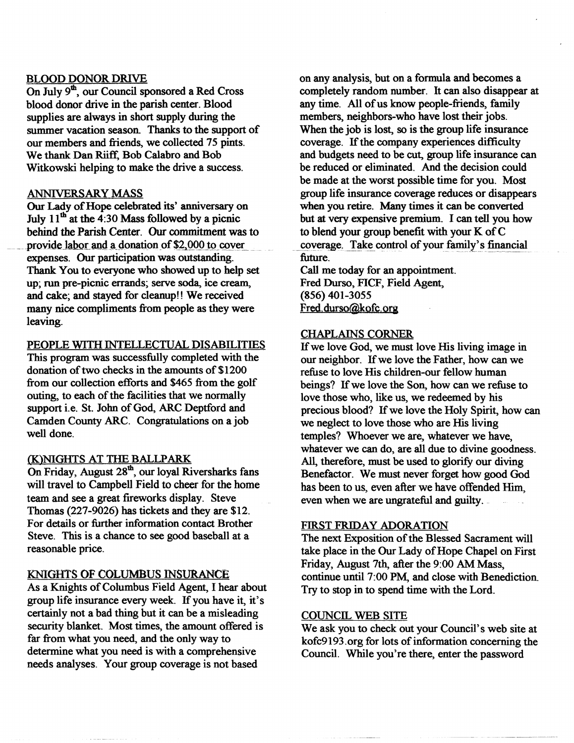#### BLOOD DONOR DRIVE

On July  $9^{\text{th}}$ , our Council sponsored a Red Cross blood donor drive in the parish center. Blood supplies are always in short supply during the summer vacation season. Thanks to the support of our members and friends, we collected 75 pints. We thank Dan Riiff, Bob Calabro and Bob Witkowski helping to make the drive a success.

#### ANNIVERSARY MASS

Our Lady of Hope celebrated its' anniversary on July  $11<sup>th</sup>$  at the 4:30 Mass followed by a picnic behind the Parish Center. Our commitment was to provide labor and a donation of \$2,000 to cover expenses. Our participation was outstanding. Thank You to everyone who showed up to help set up; run pre-picnic errands; serve soda, ice cream, and cake; and stayed for cleanup!! We received many nice compliments from people as they were leaving.

#### PEOPLE WITH INTELLECTUAL DISABILITIES

This program was successfully completed with the donation of two checks in the amounts of \$1200 from our collection efforts and \$465 from the golf outing, to each of the facilities that we normally support i.e. St. John of God, ARC Deptford and Camden County ARC. Congratulations on a job well done.

#### (K)NIGHTS AT THE BALLPARK

On Friday, August 28<sup>th</sup>, our loyal Riversharks fans will travel to Campbell Field to cheer for the home team and see a great fireworks display. Steve Thomas (227-9026) has tickets and they are \$12. For details or further information contact Brother Steve. This is a chance to see good baseball at a reasonable price.

#### KNIGHTS OF COLUMBUS INSURANCE

As a Knights of Columbus Field Agent, I hear about group life insurance every week. If you have it, it's certainly not a bad thing but it can be a misleading security blanket. Most times, the amount offered is far from what you need, and the only way to determine what you need is with a comprehensive needs analyses. Your group coverage is not based

on any analysis, but on a formula and becomes a completely random number. It can also disappear at any time. All of us know people-friends, family members, neighbors-who have lost their jobs. When the job is lost, so is the group life insurance coverage. If the company experiences difficulty and budgets need to be cut, group life insurance can be reduced or eliminated. And the decision could be made at the worst possible time for you. Most group life insurance coverage reduces or disappears when you retire. Many times it can be converted but at very expensive premium. I can tell you how to blend your group benefit with your K of C  $\overline{\text{coverage}}$ . Take control of your family's financial future.

Call me today for an appointment. Fred Durso, FICF, Field Agent, (856) 401-3055 Fred.durso@kofc.org

#### CHAPLAINS CORNER

If we love God, we must love His living image in our neighbor. If we love the Father, how can we refuse to love His children-our fellow human beings? If we love the Son, how can we refuse to love those who, like us, we redeemed by his precious blood? If we love the Holy Spirit, how can we neglect to love those who are His living temples? Whoever we are, whatever we have, whatever we can do, are all due to divine goodness. All, therefore, must be used to glorify our diving Benefactor. We must never forget how good God has been to us, even after we have offended Him, even when we are ungrateful and guilty.

#### FIRST FRIDAY ADORATION

The next Exposition of the Blessed Sacrament will take place in the Our Lady of Hope Chapel on First Friday, August 7th, after the 9:00 AM Mass, continue until 7:00 PM, and close with Benediction. Try to stop in to spend time with the Lord.

#### COUNCIL WEB SITE

We ask you to check out your Council's web site at kofc9193.org for lots of information concerning the Council. While you're there, enter the password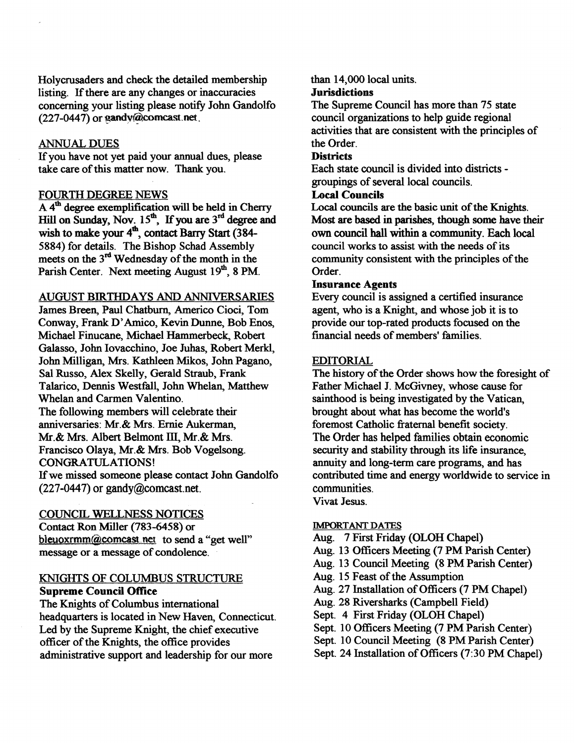Holycrusaders and check the detailed membership listing. If there are any changes or inaccuracies concerning your listing please notify John Gandolfo  $(227-0447)$  or gandy@comcast.net.

#### ANNUAL DUES

If you have not yet paid your annual dues, please take care of this matter now. Thank you.

#### FOURTH DEGREE NEWS

A  $4^{\text{th}}$  degree exemplification will be held in Cherry Hill on Sunday, Nov.  $15^{\text{th}}$ , If you are  $3^{\text{rd}}$  degree and wish to make your  $4^{\text{m}}$ , contact Barry Start (384) 5884) for details. The Bishop Schad Assembly meets on the 3<sup>rd</sup> Wednesday of the month in the Parish Center. Next meeting August 19th, 8 PM.

#### AUGUST BIRTHDAYS AND ANNIVERSARIES

James Breen, Paul Chatburn, Americo Cioci, Tom Conway, Frank D'Amico, Kevin Dunne, Bob Enos, Michael Finucane, Michael Hammerbeck, Robert Galasso, John Iovacchino, Joe Juhas, Robert Merkt, John Milligan, Mrs. Kathleen Mikos, John Pagano, Sal Russo, Alex Skelly, Gerald Straub, Frank Talarico, Dennis Westfall, John Whelan, Matthew Whelan and Carmen Valentino. The following members will celebrate their anniversaries: Mr.& Mrs. Ernie Aukerman, Mr. & Mrs. Albert Belmont III, Mr. & Mrs. Francisco Olaya, Mr.& Mrs. Bob Vogelsong. CONGRATULATIONS! If we missed someone please contact John Gandolfo  $(227-0447)$  or gandy@comcast.net.

#### COUNCIL WELLNESS NOTICES

Contact Ron Miller (783-6458) or bleuoxrmm@comcast.net to send a "get well" message or a message of condolence.

#### KNIGHTS OF COLUMBUS STRUCTURE Supreme Council Office

The Knights of Columbus international headquarters is located in New Haven, Connecticut. Led by the Supreme Knight, the chief executive officer of the Knights, the office provides administrative support and leadership for our more

than 14,000 local units.

#### **Jurisdictions**

The Supreme Council has more than 75 state council organizations to help guide regional activities that are consistent with the principles of the Order.

#### **Districts**

Each state council is divided into districts groupings of several local councils.

#### Local Councils

Local councils are the basic unit of the Knights. Most are based in parishes, though some have their own council hall within a community. Each local council works to assist with the needs of its community consistent with the principles of the Order.

#### Insurance Agents

Every council is assigned a certified insurance agent, who is a Knight, and whose job it is to provide our top-rated products focused on the financial needs of members' families.

#### EDITORIAL

The history of the Order shows how the foresight of Father Michael J. McGivney, whose cause for sainthood is being investigated by the Vatican, brought about what has become the world's foremost Catholic fraternal benefit society. The Order has helped families obtain economic security and stability through its life insurance, annuity and long-term care programs, and has contributed time and energy worldwide to service in communities.

Vivat Jesus.

#### IMPORTANT DATES

- Aug. 7 First Friday (OLOH Chapel)
- Aug. 13 Officers Meeting (7 PM Parish Center)
- Aug. 13 Council Meeting (8 PM Parish Center)
- Aug. 15 Feast of the Assumption
- Aug. 27 Installation of Officers (7 PM Chapel)
- Aug. 28 Riversharks (Campbell Field)
- Sept. 4 First Friday (OLOH Chapel)
- Sept. 10 Officers Meeting (7 PM Parish Center)
- Sept. 10 Council Meeting (8 PM Parish Center)
- Sept. 24 Installation of Officers (7:30 PM Chapel)